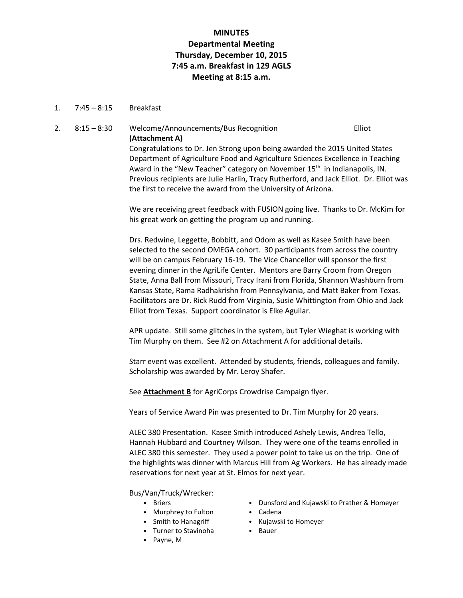# **MINUTES Departmental Meeting Thursday, December 10, 2015 7:45 a.m. Breakfast in 129 AGLS Meeting at 8:15 a.m.**

1. 7:45 – 8:15 Breakfast

# 2. 8:15 – 8:30 Welcome/Announcements/Bus Recognition Elliot **(Attachment A)**

Congratulations to Dr. Jen Strong upon being awarded the 2015 United States Department of Agriculture Food and Agriculture Sciences Excellence in Teaching Award in the "New Teacher" category on November  $15<sup>th</sup>$  in Indianapolis, IN. Previous recipients are Julie Harlin, Tracy Rutherford, and Jack Elliot. Dr. Elliot was the first to receive the award from the University of Arizona.

We are receiving great feedback with FUSION going live. Thanks to Dr. McKim for his great work on getting the program up and running.

Drs. Redwine, Leggette, Bobbitt, and Odom as well as Kasee Smith have been selected to the second OMEGA cohort. 30 participants from across the country will be on campus February 16-19. The Vice Chancellor will sponsor the first evening dinner in the AgriLife Center. Mentors are Barry Croom from Oregon State, Anna Ball from Missouri, Tracy Irani from Florida, Shannon Washburn from Kansas State, Rama Radhakrishn from Pennsylvania, and Matt Baker from Texas. Facilitators are Dr. Rick Rudd from Virginia, Susie Whittington from Ohio and Jack Elliot from Texas. Support coordinator is Elke Aguilar.

APR update. Still some glitches in the system, but Tyler Wieghat is working with Tim Murphy on them. See #2 on Attachment A for additional details.

Starr event was excellent. Attended by students, friends, colleagues and family. Scholarship was awarded by Mr. Leroy Shafer.

See **Attachment B** for AgriCorps Crowdrise Campaign flyer.

Years of Service Award Pin was presented to Dr. Tim Murphy for 20 years.

ALEC 380 Presentation. Kasee Smith introduced Ashely Lewis, Andrea Tello, Hannah Hubbard and Courtney Wilson. They were one of the teams enrolled in ALEC 380 this semester. They used a power point to take us on the trip. One of the highlights was dinner with Marcus Hill from Ag Workers. He has already made reservations for next year at St. Elmos for next year.

Bus/Van/Truck/Wrecker:

- Briers
- Murphrey to Fulton
- Smith to Hanagriff
- Turner to Stavinoha
- Payne, M
- Dunsford and Kujawski to Prather & Homeyer
- Cadena
- Kujawski to Homeyer
- Bauer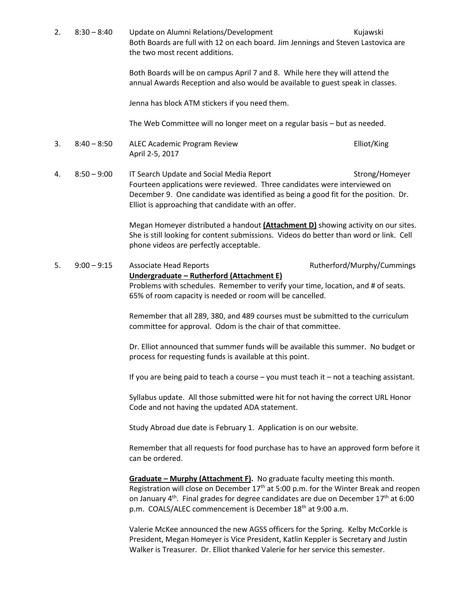2. 8:30 – 8:40 Update on Alumni Relations/Development Kujawski Both Boards are full with 12 on each board. Jim Jennings and Steven Lastovica are the two most recent additions. Both Boards will be on campus April 7 and 8. While here they will attend the annual Awards Reception and also would be available to guest speak in classes. Jenna has block ATM stickers if you need them. The Web Committee will no longer meet on a regular basis – but as needed. 3. 8:40 – 8:50 ALEC Academic Program Review Elliot/King April 2-5, 2017 4. 8:50 – 9:00 IT Search Update and Social Media Report Strong/Homeyer Fourteen applications were reviewed. Three candidates were interviewed on December 9. One candidate was identified as being a good fit for the position. Dr. Elliot is approaching that candidate with an offer. Megan Homeyer distributed a handout **(Attachment D)** showing activity on our sites. She is still looking for content submissions. Videos do better than word or link. Cell phone videos are perfectly acceptable. 5. 9:00 – 9:15 Associate Head Reports Rutherford/Murphy/Cummings **Undergraduate – Rutherford (Attachment E)** Problems with schedules. Remember to verify your time, location, and # of seats. 65% of room capacity is needed or room will be cancelled. Remember that all 289, 380, and 489 courses must be submitted to the curriculum committee for approval. Odom is the chair of that committee. Dr. Elliot announced that summer funds will be available this summer. No budget or process for requesting funds is available at this point. If you are being paid to teach a course – you must teach it – not a teaching assistant. Syllabus update. All those submitted were hit for not having the correct URL Honor Code and not having the updated ADA statement. Study Abroad due date is February 1. Application is on our website. Remember that all requests for food purchase has to have an approved form before it can be ordered. **Graduate – Murphy (Attachment F).** No graduate faculty meeting this month. Registration will close on December  $17<sup>th</sup>$  at 5:00 p.m. for the Winter Break and reopen on January 4<sup>th</sup>. Final grades for degree candidates are due on December 17<sup>th</sup> at 6:00 p.m. COALS/ALEC commencement is December 18<sup>th</sup> at 9:00 a.m. Valerie McKee announced the new AGSS officers for the Spring. Kelby McCorkle is President, Megan Homeyer is Vice President, Katlin Keppler is Secretary and Justin Walker is Treasurer. Dr. Elliot thanked Valerie for her service this semester.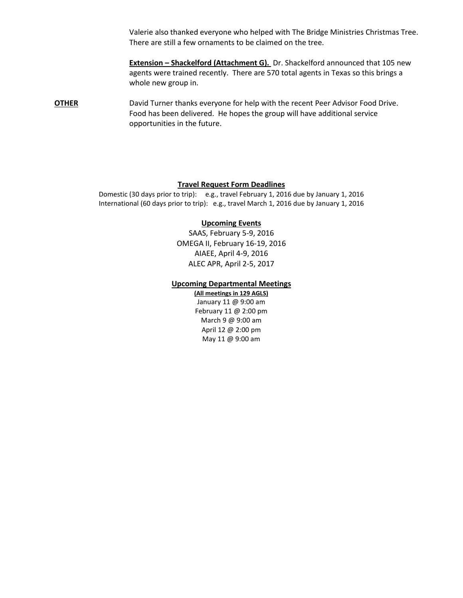Valerie also thanked everyone who helped with The Bridge Ministries Christmas Tree. There are still a few ornaments to be claimed on the tree.

**Extension – Shackelford (Attachment G).** Dr. Shackelford announced that 105 new agents were trained recently. There are 570 total agents in Texas so this brings a whole new group in.

**OTHER** David Turner thanks everyone for help with the recent Peer Advisor Food Drive. Food has been delivered. He hopes the group will have additional service opportunities in the future.

### **Travel Request Form Deadlines**

Domestic (30 days prior to trip): e.g., travel February 1, 2016 due by January 1, 2016 International (60 days prior to trip): e.g., travel March 1, 2016 due by January 1, 2016

### **Upcoming Events**

SAAS, February 5-9, 2016 OMEGA II, February 16-19, 2016 AIAEE, April 4-9, 2016 ALEC APR, April 2-5, 2017

### **Upcoming Departmental Meetings**

**(All meetings in 129 AGLS)** January 11 @ 9:00 am February 11 @ 2:00 pm March 9 @ 9:00 am April 12 @ 2:00 pm May 11 @ 9:00 am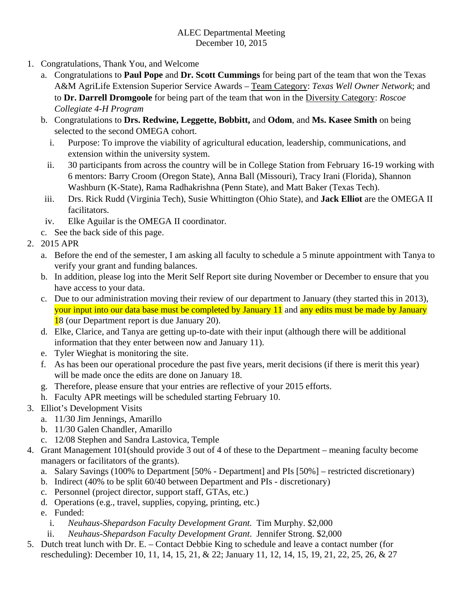# ALEC Departmental Meeting December 10, 2015

- 1. Congratulations, Thank You, and Welcome
	- a. Congratulations to **Paul Pope** and **Dr. Scott Cummings** for being part of the team that won the Texas A&M AgriLife Extension Superior Service Awards – Team Category: *Texas Well Owner Network*; and to **Dr. Darrell Dromgoole** for being part of the team that won in the Diversity Category: *Roscoe Collegiate 4-H Program*
	- b. Congratulations to **Drs. Redwine, Leggette, Bobbitt,** and **Odom**, and **Ms. Kasee Smith** on being selected to the second OMEGA cohort.
		- i. Purpose: To improve the viability of agricultural education, leadership, communications, and extension within the university system.
		- ii. 30 participants from across the country will be in College Station from February 16-19 working with 6 mentors: Barry Croom (Oregon State), Anna Ball (Missouri), Tracy Irani (Florida), Shannon Washburn (K-State), Rama Radhakrishna (Penn State), and Matt Baker (Texas Tech).
	- iii. Drs. Rick Rudd (Virginia Tech), Susie Whittington (Ohio State), and **Jack Elliot** are the OMEGA II facilitators.
	- iv. Elke Aguilar is the OMEGA II coordinator.
	- c. See the back side of this page.
- 2. 2015 APR
	- a. Before the end of the semester, I am asking all faculty to schedule a 5 minute appointment with Tanya to verify your grant and funding balances.
	- b. In addition, please log into the Merit Self Report site during November or December to ensure that you have access to your data.
	- c. Due to our administration moving their review of our department to January (they started this in 2013), your input into our data base must be completed by January 11 and any edits must be made by January 18 (our Department report is due January 20).
	- d. Elke, Clarice, and Tanya are getting up-to-date with their input (although there will be additional information that they enter between now and January 11).
	- e. Tyler Wieghat is monitoring the site.
	- f. As has been our operational procedure the past five years, merit decisions (if there is merit this year) will be made once the edits are done on January 18.
	- g. Therefore, please ensure that your entries are reflective of your 2015 efforts.
	- h. Faculty APR meetings will be scheduled starting February 10.
- 3. Elliot's Development Visits
	- a. 11/30 Jim Jennings, Amarillo
	- b. 11/30 Galen Chandler, Amarillo
	- c. 12/08 Stephen and Sandra Lastovica, Temple
- 4. Grant Management 101(should provide 3 out of 4 of these to the Department meaning faculty become managers or facilitators of the grants).
	- a. Salary Savings (100% to Department [50% Department] and PIs [50%] restricted discretionary)
	- b. Indirect (40% to be split 60/40 between Department and PIs discretionary)
	- c. Personnel (project director, support staff, GTAs, etc.)
	- d. Operations (e.g., travel, supplies, copying, printing, etc.)
	- e. Funded:
		- i. *Neuhaus-Shepardson Faculty Development Grant.* Tim Murphy. \$2,000
	- ii. *Neuhaus-Shepardson Faculty Development Grant*. Jennifer Strong. \$2,000
- 5. Dutch treat lunch with Dr. E. Contact Debbie King to schedule and leave a contact number (for rescheduling): December 10, 11, 14, 15, 21, & 22; January 11, 12, 14, 15, 19, 21, 22, 25, 26, & 27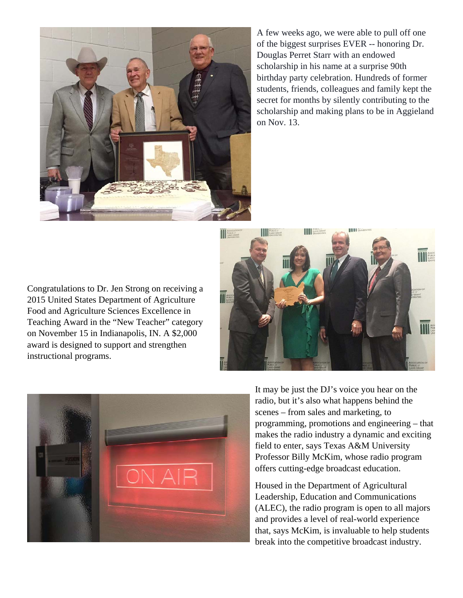

A few weeks ago, we were able to pull off one of the biggest surprises EVER -- honoring Dr. Douglas Perret Starr with an endowed scholarship in his name at a surprise 90th birthday party celebration. Hundreds of former students, friends, colleagues and family kept the secret for months by silently contributing to the scholarship and making plans to be in Aggieland on Nov. 13.

Congratulations to Dr. Jen Strong on receiving a 2015 United States Department of Agriculture Food and Agriculture Sciences Excellence in Teaching Award in the "New Teacher" category on November 15 in Indianapolis, IN. A \$2,000 award is designed to support and strengthen instructional programs.





It may be just the DJ's voice you hear on the radio, but it's also what happens behind the scenes – from sales and marketing, to programming, promotions and engineering – that makes the radio industry a dynamic and exciting field to enter, says Texas A&M University Professor Billy McKim, whose radio program offers cutting-edge broadcast education.

Housed in the Department of Agricultural Leadership, Education and Communications (ALEC), the radio program is open to all majors and provides a level of real-world experience that, says McKim, is invaluable to help students break into the competitive broadcast industry.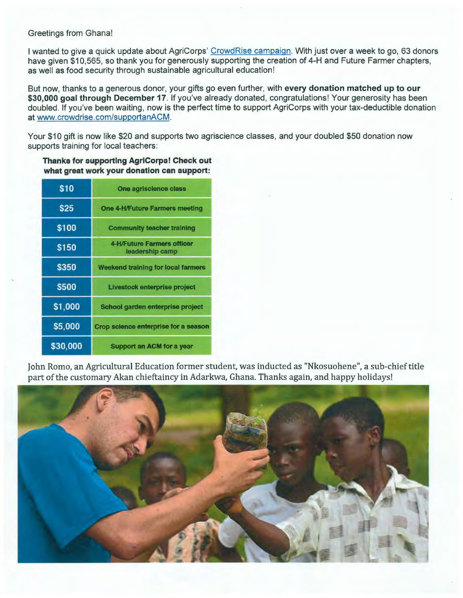### Greetings from Ghana!

I wanted to give a quick update about AgriCorps' CrowdRise campaign. With just over a week to go, 63 donors have given \$10,565, so thank you for generously supporting the creation of 4-H and Future Farmer chapters, as well as food security through sustainable agricultural education!

But now, thanks to a generous donor, your gifts go even further, with **every donation matched up to our \$30,000 goal through December 17.** If you've already donated, congratulations! Your generosity has been doubled. If you've been waiting, now is the perfect time to support AgriCorps with your tax-deductible donation at www.crowdrise.com/supportanACM.

Your \$10 gift is now like \$20 and supports two agriscience classes, and your doubled \$50 donation now supports training for local teachers:

| \$10         | One agriscience class                         |  |  |  |  |
|--------------|-----------------------------------------------|--|--|--|--|
| <b>S25</b>   | <b>One 4-H/Future Farmers meeting</b>         |  |  |  |  |
| \$100        | <b>Community teacher training</b>             |  |  |  |  |
| <b>\$150</b> | 4-H/Future Farmers officer<br>leadership camp |  |  |  |  |
| <b>\$350</b> | Weekend training for local farmers            |  |  |  |  |
| <b>S500</b>  | Livestock enterprise project                  |  |  |  |  |
| \$1,000      | School garden enterprise project              |  |  |  |  |
| \$5,000      | Crop science enterprise for a season          |  |  |  |  |
| \$30,000     | <b>Support an ACM for a year</b>              |  |  |  |  |

### **Thanks for supporting AgriCorps! Check out what great work your donation can support:**

John Romo, an Agricultural Education former student, was inducted as "Nkosuohene", a sub-chief title part of the customary Akan chieftaincy in Adarkwa, Ghana. Thanks again, and happy holidays!

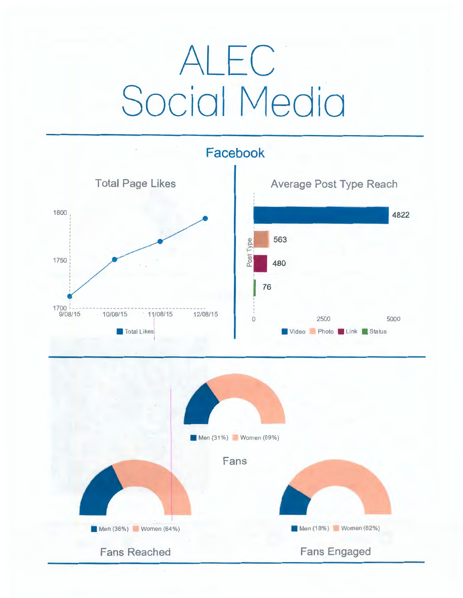# ALEC Social Media

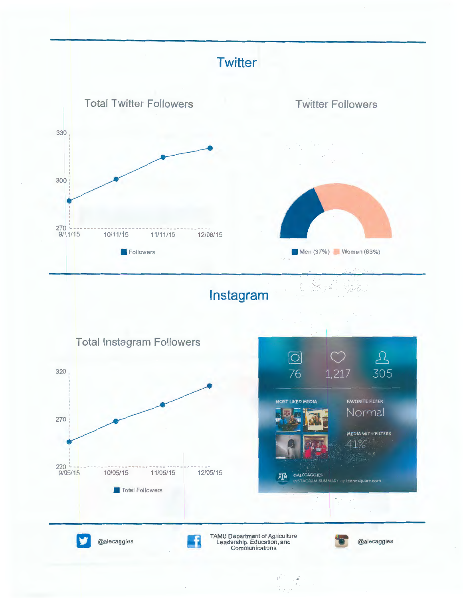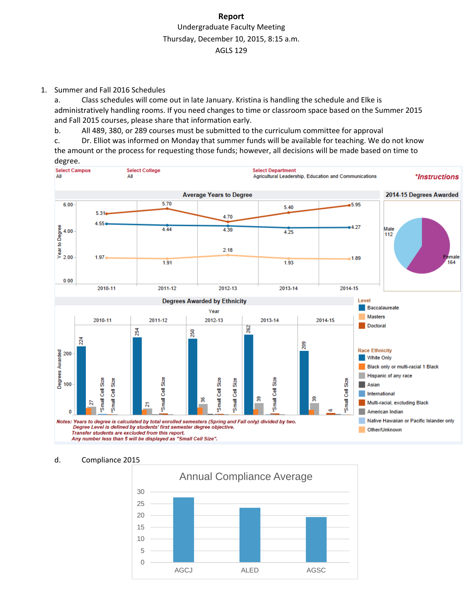# **Report** Undergraduate Faculty Meeting Thursday, December 10, 2015, 8:15 a.m. AGLS 129

1. Summer and Fall 2016 Schedules

a. Class schedules will come out in late January. Kristina is handling the schedule and Elke is administratively handling rooms. If you need changes to time or classroom space based on the Summer 2015 and Fall 2015 courses, please share that information early.

b. All 489, 380, or 289 courses must be submitted to the curriculum committee for approval

c. Dr. Elliot was informed on Monday that summer funds will be available for teaching. We do not know the amount or the process for requesting those funds; however, all decisions will be made based on time to



### d. Compliance 2015

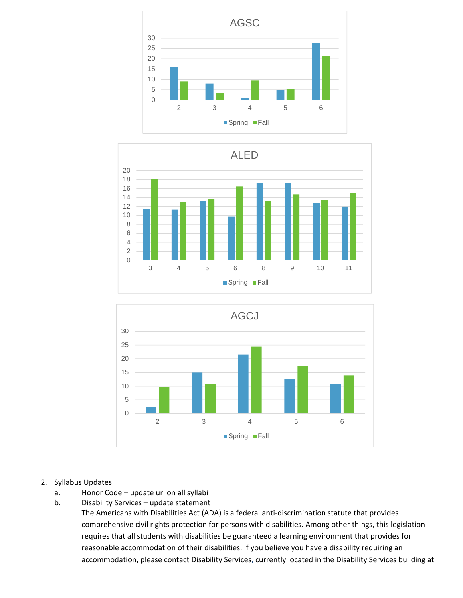





- 2. Syllabus Updates
	- a. Honor Code update url on all syllabi
	- b. Disability Services update statement

The Americans with Disabilities Act (ADA) is a federal anti‐discrimination statute that provides comprehensive civil rights protection for persons with disabilities. Among other things, this legislation requires that all students with disabilities be guaranteed a learning environment that provides for reasonable accommodation of their disabilities. If you believe you have a disability requiring an accommodation, please contact Disability Services, currently located in the Disability Services building at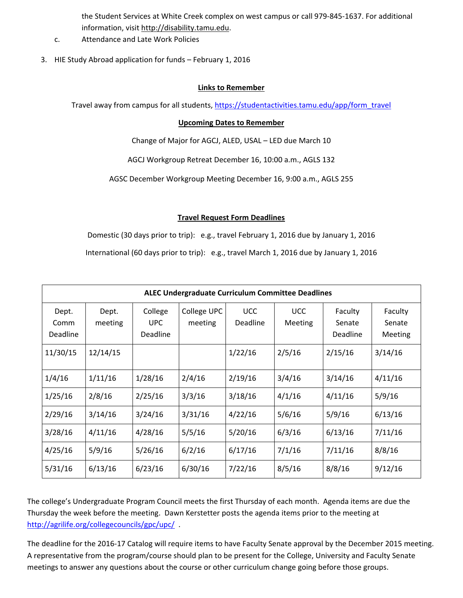the Student Services at White Creek complex on west campus or call 979‐845‐1637. For additional information, visit http://disability.tamu.edu.

- c. Attendance and Late Work Policies
- 3. HIE Study Abroad application for funds February 1, 2016

## **Links to Remember**

Travel away from campus for all students, https://studentactivities.tamu.edu/app/form\_travel

## **Upcoming Dates to Remember**

Change of Major for AGCJ, ALED, USAL – LED due March 10

AGCJ Workgroup Retreat December 16, 10:00 a.m., AGLS 132

AGSC December Workgroup Meeting December 16, 9:00 a.m., AGLS 255

## **Travel Request Form Deadlines**

Domestic (30 days prior to trip): e.g., travel February 1, 2016 due by January 1, 2016

International (60 days prior to trip): e.g., travel March 1, 2016 due by January 1, 2016

| <b>ALEC Undergraduate Curriculum Committee Deadlines</b> |                  |                                          |                        |                               |                              |                                      |                              |  |
|----------------------------------------------------------|------------------|------------------------------------------|------------------------|-------------------------------|------------------------------|--------------------------------------|------------------------------|--|
| Dept.<br>Comm<br><b>Deadline</b>                         | Dept.<br>meeting | College<br><b>UPC</b><br><b>Deadline</b> | College UPC<br>meeting | <b>UCC</b><br><b>Deadline</b> | <b>UCC</b><br><b>Meeting</b> | Faculty<br>Senate<br><b>Deadline</b> | Faculty<br>Senate<br>Meeting |  |
| 11/30/15                                                 | 12/14/15         |                                          |                        | 1/22/16                       | 2/5/16                       | 2/15/16                              | 3/14/16                      |  |
| 1/4/16                                                   | 1/11/16          | 1/28/16                                  | 2/4/16                 | 2/19/16                       | 3/4/16                       | 3/14/16                              | 4/11/16                      |  |
| 1/25/16                                                  | 2/8/16           | 2/25/16                                  | 3/3/16                 | 3/18/16                       | 4/1/16                       | 4/11/16                              | 5/9/16                       |  |
| 2/29/16                                                  | 3/14/16          | 3/24/16                                  | 3/31/16                | 4/22/16                       | 5/6/16                       | 5/9/16                               | 6/13/16                      |  |
| 3/28/16                                                  | 4/11/16          | 4/28/16                                  | 5/5/16                 | 5/20/16                       | 6/3/16                       | 6/13/16                              | 7/11/16                      |  |
| 4/25/16                                                  | 5/9/16           | 5/26/16                                  | 6/2/16                 | 6/17/16                       | 7/1/16                       | 7/11/16                              | 8/8/16                       |  |
| 5/31/16                                                  | 6/13/16          | 6/23/16                                  | 6/30/16                | 7/22/16                       | 8/5/16                       | 8/8/16                               | 9/12/16                      |  |

The college's Undergraduate Program Council meets the first Thursday of each month. Agenda items are due the Thursday the week before the meeting. Dawn Kerstetter posts the agenda items prior to the meeting at http://agrilife.org/collegecouncils/gpc/upc/ .

The deadline for the 2016‐17 Catalog will require items to have Faculty Senate approval by the December 2015 meeting. A representative from the program/course should plan to be present for the College, University and Faculty Senate meetings to answer any questions about the course or other curriculum change going before those groups.